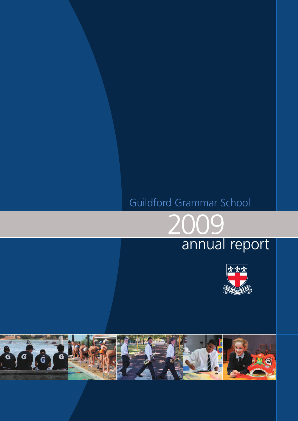# Guildford Grammar School



# annual report



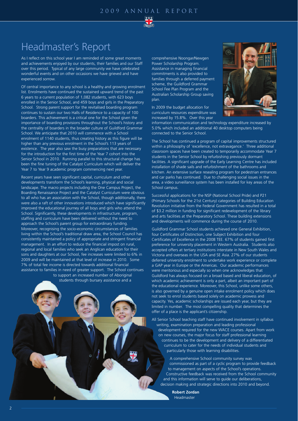

# Headmaster's Report

As I reflect on this school year I am reminded of some great moments and achievements enjoyed by our students, their families and our Staff over this period. Typical of any large community we have celebrated wonderful events and on other occasions we have grieved and have experienced sorrow.

Of central importance to any school is a healthy and growing enrolment list. Enrolments have continued the sustained upward trend of the past 6 years to a current population of 1,082 students, with 623 boys enrolled in the Senior School, and 459 boys and girls in the Preparatory School. Strong parent support for the revitalised boarding program continues to sustain our two Halls of Residence to a capacity of 100 boarders. This achievement is a critical one for the School given the importance of boarding provisions throughout the School's history and the centrality of boarders in the broader culture of Guildford Grammar School. We anticipate that 2010 will commence with a School enrolment of 1140 students, thus creating history as this figure will be higher than any previous enrolment in the School's 113 years of existence. The year also saw the busy preparations that are necessary for the introduction for the first time of the Year 7 cohort into the Senior School in 2010. Running parallel to this structural change has been the fine tuning of the Catalyst Curriculum which will deliver the Year 7 to Year 9 academic program commencing next year.

Recent years have seen significant capital, curriculum and other developments transform the School's learning, physical and social landscape. The macro projects including the One Campus Project, the Boarding Renaissance Project and the Catalyst Curriculum were obvious to all who has an association with the School, though additionally, there were also a raft of other innovations introduced which have significantly improved the educational journey of all boys and girls who attend the School. Significantly, these developments in infrastructure, program, staffing and curriculum have been delivered without the need to approach the School's parent group for extraordinary funding. Moreover, recognising the socio-economic circumstances of families living within the School's traditional draw area, the School Council has consistently maintained a policy of appropriate and stringent financial management. In an effort to reduce the financial impost on rural, regional and local families who seek an Anglican education for their sons and daughters at our School, fee increases were limited to 6% in 2009 and will be maintained at that level of increase in 2010. Some 7% of total fee income is directed towards additional financial assistance to families in need of greater support. The School continues to support an increased number of Aboriginal students through bursary assistance and a

comprehensive Noongar/Newgen Power Scholarship Program. Assistance in managing financial commitments is also provided to families through a deferred payment scheme, the Guildford Grammar School Fee Plan Program and the Australian Scholarship Group saving plan.

In 2009 the budget allocation for curriculum resources expenditure was increased by 15.8%. Over this year



information communication and technology expenditure increased by 5.0% which included an additional 40 desktop computers being connected to the Senior School.

The School has continued a program of capital improvements structured within a philosophy of 'excellence, not extravagance.' Three additional classroom spaces have been created to temporarily accommodate Year 7 students in the Senior School by refurbishing previously dormant facilities. A significant upgrade of the Early Learning Centre has included installation of shade sails and refurbishment of the bathrooms and kitchen. An extensive surface resealing program for pedestrian entrances and car parks has continued. Due to challenging social issues in the area, a video surveillance system has been installed for key areas of the School campus.

Successful applications for the NSP (National School Pride) and P21 (Primary Schools for the 21st Century) categories of Building Education Revolution initiative from the Federal Government has resulted in a total of \$3.2 million in funding for significant redevelopment of the library and arts facilities at the Preparatory School. These building extensions and developments will commence during the course of 2010.

Guildford Grammar School students achieved one General Exhibition, four Certificates of Distinction, one Subject Exhibition and four Certificates of Excellence in the 2008 TEE. 67% of students gained first preference for university placement in Western Australia. Students also accepted offers at tertiary institutions interstate in New South Wales and Victoria and overseas in the USA and SE Asia. 27% of our students deferred university enrolment to undertake work experience or complete a GAP year in Europe or the Americas. Our academic performances were meritorious and especially so when one acknowledges that Guildford has always focused on a broad based and liberal education, of which academic achievement is only a part, albeit an important part of the educational experience. Moreover, this School, unlike some others, is also governed by a genuine open intake enrolment policy which does not seek to enrol students based solely on academic prowess and capacity. Yes, academic scholarships are issued each year, but they are limited in number. The most compelling quality that determines the offer of a place is the applicant's citizenship.

All Senior School teaching staff have continued involvement in syllabus writing, examination preparation and leading professional development required for the new WACE courses. Apart from work on new courses, the major focus for staff professional learning continues to be the development and delivery of a differentiated curriculum to cater for the needs of individual students and particularly those with learning disabilities.

A comprehensive School community survey was commissioned as part of a cyclic program to provide feedback to management on aspects of the School's operations. Constructive feedback was received from the School community and this information will serve to guide our deliberations, decision making and strategic directions into 2010 and beyond.

**Robert Zordan** Headmaster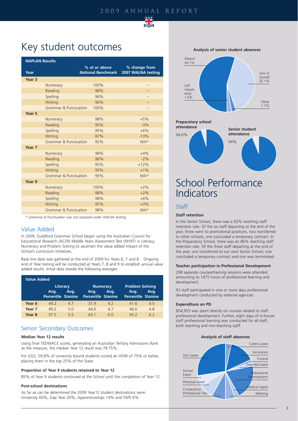## 2009 annual report



# Key student outcomes

| <b>NAPLAN Results</b> |                                  |                           |                    |  |
|-----------------------|----------------------------------|---------------------------|--------------------|--|
|                       |                                  | % at or above             | % change from      |  |
| Year                  |                                  | <b>National Benchmark</b> | 2007 WALNA testing |  |
| Year <sub>3</sub>     |                                  |                           |                    |  |
|                       | Numeracy                         | 100%                      |                    |  |
|                       | Reading                          | 98%                       |                    |  |
|                       | Spelling                         | 96%                       |                    |  |
|                       | Writing                          | 96%                       |                    |  |
|                       | <b>Grammar &amp; Punctuation</b> | 100%                      |                    |  |
| Year 5                |                                  |                           |                    |  |
|                       | Numeracy                         | 98%                       | $+5%$              |  |
|                       | Reading                          | 95%                       | $-3%$              |  |
|                       | Spelling                         | 95%                       | $+6%$              |  |
|                       | Writing                          | 87%                       | $-13%$             |  |
|                       | <b>Grammar &amp; Punctuation</b> | 92%                       | $N/A*$             |  |
| Year 7                |                                  |                           |                    |  |
|                       | Numeracy                         | 98%                       | $+4%$              |  |
|                       | Reading                          | 96%                       | $-2%$              |  |
|                       | Spelling                         | 95%                       | $+12%$             |  |
|                       | Writing                          | 93%                       | $+1%$              |  |
|                       | <b>Grammar &amp; Punctuation</b> | 95%                       | $N/A*$             |  |
| Year 9                |                                  |                           |                    |  |
|                       | Numeracy                         | 100%                      | $+2%$              |  |
|                       | Reading                          | 98%                       | $+2%$              |  |
|                       | Spelling                         | 98%                       | $+6%$              |  |
|                       | Writing                          | 95%                       | $+3%$              |  |
|                       | <b>Grammar &amp; Punctuation</b> | 98%                       | $N/A*$             |  |

\* *Grammar & Punctuation was not assessed under WALNA testing.*

## Value Added

In 2009, Guildford Grammar School began using the Australian Council for Educational Research (ACER) Middle Years Assessment Test (MYAT) in Literacy, Numeracy and Problem Solving to ascertain the value added impact of the School's curriculum initiatives.

Base line data was gathered at the end of 2009 for Years 6, 7 and 8. Ongoing end of Year testing will be conducted at Years 7, 8 and 9 to establish annual value added results. Initial data reveals the following averages:

| <b>Value Added</b> |                                               |      |                                   |                         |                                                             |      |
|--------------------|-----------------------------------------------|------|-----------------------------------|-------------------------|-------------------------------------------------------------|------|
|                    | Literacy<br>Avg.<br><b>Percentile Stanine</b> | Avg. | Avg.<br><b>Percentile Stanine</b> | <b>Numeracy</b><br>Ava. | <b>Problem Solving</b><br>Avg.<br><b>Percentile Stanine</b> | Avg. |
| Year <sub>6</sub>  | 44.2                                          | 47   | 379                               | 42                      | 416                                                         | 45   |
| Year <sub>7</sub>  | 49 2                                          | 5 O  | 446                               | 47                      | 466                                                         | 48   |
| Year <sub>8</sub>  | 575                                           | 55   | 63 1                              | 6 N                     | 65.2                                                        | 62   |

# Senior Secondary Outcomes

### **Median Year 12 results**

Using final TEE/WACE scores, generating an Australian Tertiary Admissions Rank as the measure, the median Year 12 result was 78.75%.

For GGS, 59.8% of university bound students scored an ATAR of 75% or better, placing them in the top 25% of the State.

### **Proportion of Year 9 students retained to Year 12**

85% of Year 9 students continued at the School until the completion of Year 12.

### **Post-school destinations**

As far as can be determined the 2009 Year12 student destinations were: University 60%, Gap Year 20%, Apprenticeships 14% and TAFE 6%.

**Analysis of senior student absences**





# School Performance Indicators

### Staff

#### **Staff retention**

In the Senior School, there was a 92% teaching staff retention rate. Of the six staff departing at the end of the year, three went to promotional positions, two transferred to other schools, one concluded a temporary contract. In the Preparatory School, there was an 86% teaching staff retention rate. Of the three staff departing at the end of the year, one transferred to our own Senior School, one concluded a temporary contract and one was terminated.

#### **Teacher participation in Professional Development**

298 separate courses/training sessions were attended, amounting to 1475 hours of professional learning and development.

93 staff participated in one or more days professional development conducted by external agencies.

#### **Expenditure on PD**

\$54,953 was spent directly on courses related to staff professional development. Further, eight days of in-house staff professional learning was conducted for all staff, both teaching and non-teaching staff.